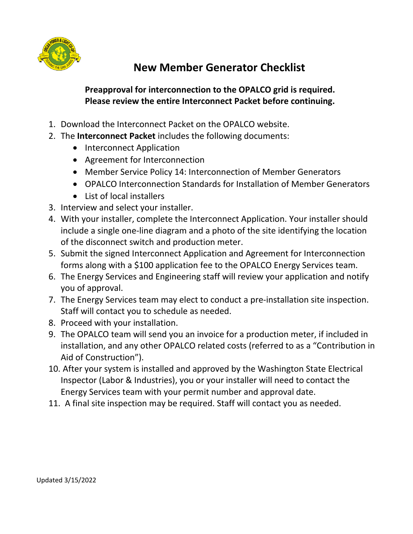

## **New Member Generator Checklist**

## **Preapproval for interconnection to the OPALCO grid is required. Please review the entire Interconnect Packet before continuing.**

- 1. Download the Interconnect Packet on the OPALCO website.
- 2. The **Interconnect Packet** includes the following documents:
	- Interconnect Application
	- Agreement for Interconnection
	- Member Service Policy 14: Interconnection of Member Generators
	- OPALCO Interconnection Standards for Installation of Member Generators
	- List of local installers
- 3. Interview and select your installer.
- 4. With your installer, complete the Interconnect Application. Your installer should include a single one-line diagram and a photo of the site identifying the location of the disconnect switch and production meter.
- 5. Submit the signed Interconnect Application and Agreement for Interconnection forms along with a \$100 application fee to the OPALCO Energy Services team.
- 6. The Energy Services and Engineering staff will review your application and notify you of approval.
- 7. The Energy Services team may elect to conduct a pre-installation site inspection. Staff will contact you to schedule as needed.
- 8. Proceed with your installation.
- 9. The OPALCO team will send you an invoice for a production meter, if included in installation, and any other OPALCO related costs (referred to as a "Contribution in Aid of Construction").
- 10. After your system is installed and approved by the Washington State Electrical Inspector (Labor & Industries), you or your installer will need to contact the Energy Services team with your permit number and approval date.
- 11. A final site inspection may be required. Staff will contact you as needed.